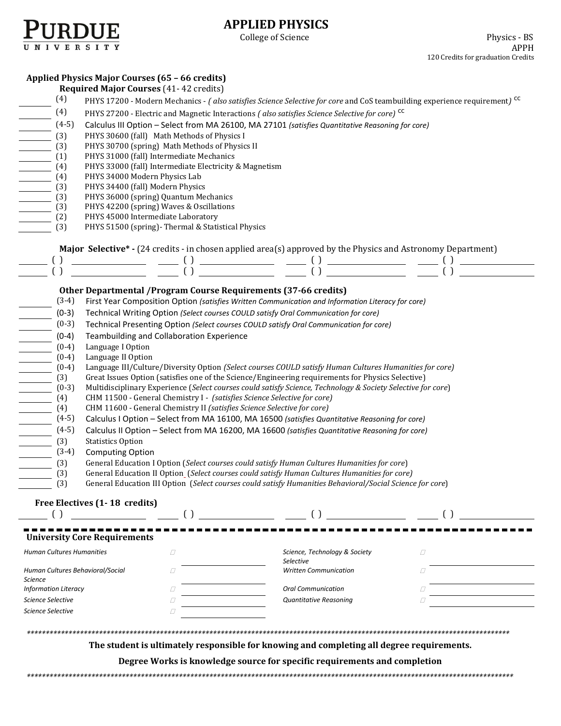

# **APPLIED PHYSICS**

### **Applied Physics Major Courses (65 – 66 credits)**

|                                  | <b>Required Major Courses (41-42 credits)</b>                                                                                                   |                                                                          |                                                                                                                                                                                                                                                                                                                     |   |  |  |  |
|----------------------------------|-------------------------------------------------------------------------------------------------------------------------------------------------|--------------------------------------------------------------------------|---------------------------------------------------------------------------------------------------------------------------------------------------------------------------------------------------------------------------------------------------------------------------------------------------------------------|---|--|--|--|
| (4)                              | PHYS 17200 - Modern Mechanics - (also satisfies Science Selective for core and CoS teambuilding experience requirement) <sup>CC</sup>           |                                                                          |                                                                                                                                                                                                                                                                                                                     |   |  |  |  |
| (4)                              | PHYS 27200 - Electric and Magnetic Interactions (also satisfies Science Selective for core) <sup>CC</sup>                                       |                                                                          |                                                                                                                                                                                                                                                                                                                     |   |  |  |  |
| $(4-5)$                          |                                                                                                                                                 |                                                                          |                                                                                                                                                                                                                                                                                                                     |   |  |  |  |
| (3)                              | Calculus III Option - Select from MA 26100, MA 27101 (satisfies Quantitative Reasoning for core)<br>PHYS 30600 (fall) Math Methods of Physics I |                                                                          |                                                                                                                                                                                                                                                                                                                     |   |  |  |  |
| (3)                              |                                                                                                                                                 |                                                                          |                                                                                                                                                                                                                                                                                                                     |   |  |  |  |
| (1)                              | PHYS 30700 (spring) Math Methods of Physics II<br>PHYS 31000 (fall) Intermediate Mechanics                                                      |                                                                          |                                                                                                                                                                                                                                                                                                                     |   |  |  |  |
| (4)                              | PHYS 33000 (fall) Intermediate Electricity & Magnetism                                                                                          |                                                                          |                                                                                                                                                                                                                                                                                                                     |   |  |  |  |
| (4)                              | PHYS 34000 Modern Physics Lab                                                                                                                   |                                                                          |                                                                                                                                                                                                                                                                                                                     |   |  |  |  |
| (3)                              | PHYS 34400 (fall) Modern Physics                                                                                                                |                                                                          |                                                                                                                                                                                                                                                                                                                     |   |  |  |  |
| (3)                              | PHYS 36000 (spring) Quantum Mechanics                                                                                                           |                                                                          |                                                                                                                                                                                                                                                                                                                     |   |  |  |  |
| (3)                              | PHYS 42200 (spring) Waves & Oscillations                                                                                                        |                                                                          |                                                                                                                                                                                                                                                                                                                     |   |  |  |  |
| (2)                              | PHYS 45000 Intermediate Laboratory                                                                                                              |                                                                          |                                                                                                                                                                                                                                                                                                                     |   |  |  |  |
| (3)                              |                                                                                                                                                 | PHYS 51500 (spring)- Thermal & Statistical Physics                       |                                                                                                                                                                                                                                                                                                                     |   |  |  |  |
|                                  |                                                                                                                                                 |                                                                          | Major Selective* - (24 credits - in chosen applied area(s) approved by the Physics and Astronomy Department)                                                                                                                                                                                                        |   |  |  |  |
|                                  |                                                                                                                                                 |                                                                          |                                                                                                                                                                                                                                                                                                                     |   |  |  |  |
|                                  |                                                                                                                                                 |                                                                          | $\frac{1}{1}$ $\frac{1}{1}$ $\frac{1}{1}$ $\frac{1}{1}$ $\frac{1}{1}$ $\frac{1}{1}$ $\frac{1}{1}$ $\frac{1}{1}$ $\frac{1}{1}$ $\frac{1}{1}$ $\frac{1}{1}$ $\frac{1}{1}$ $\frac{1}{1}$ $\frac{1}{1}$ $\frac{1}{1}$ $\frac{1}{1}$ $\frac{1}{1}$ $\frac{1}{1}$ $\frac{1}{1}$ $\frac{1}{1}$ $\frac{1}{1}$ $\frac{1}{1}$ |   |  |  |  |
|                                  |                                                                                                                                                 |                                                                          |                                                                                                                                                                                                                                                                                                                     |   |  |  |  |
|                                  |                                                                                                                                                 | Other Departmental / Program Course Requirements (37-66 credits)         |                                                                                                                                                                                                                                                                                                                     |   |  |  |  |
| $(3-4)$                          |                                                                                                                                                 |                                                                          | First Year Composition Option (satisfies Written Communication and Information Literacy for core)                                                                                                                                                                                                                   |   |  |  |  |
| $(0-3)$                          | Technical Writing Option (Select courses COULD satisfy Oral Communication for core)                                                             |                                                                          |                                                                                                                                                                                                                                                                                                                     |   |  |  |  |
| $(0-3)$                          | Technical Presenting Option (Select courses COULD satisfy Oral Communication for core)                                                          |                                                                          |                                                                                                                                                                                                                                                                                                                     |   |  |  |  |
| $(0-4)$                          | Teambuilding and Collaboration Experience                                                                                                       |                                                                          |                                                                                                                                                                                                                                                                                                                     |   |  |  |  |
| $(0-4)$                          | Language I Option                                                                                                                               |                                                                          |                                                                                                                                                                                                                                                                                                                     |   |  |  |  |
| $(0-4)$                          | Language II Option                                                                                                                              |                                                                          |                                                                                                                                                                                                                                                                                                                     |   |  |  |  |
| $(0-4)$                          |                                                                                                                                                 |                                                                          | Language III/Culture/Diversity Option (Select courses COULD satisfy Human Cultures Humanities for core)                                                                                                                                                                                                             |   |  |  |  |
| (3)                              |                                                                                                                                                 |                                                                          | Great Issues Option (satisfies one of the Science/Engineering requirements for Physics Selective)                                                                                                                                                                                                                   |   |  |  |  |
| $(0-3)$                          |                                                                                                                                                 |                                                                          | Multidisciplinary Experience (Select courses could satisfy Science, Technology & Society Selective for core)                                                                                                                                                                                                        |   |  |  |  |
| (4)                              |                                                                                                                                                 | CHM 11500 - General Chemistry I - (satisfies Science Selective for core) |                                                                                                                                                                                                                                                                                                                     |   |  |  |  |
| (4)                              |                                                                                                                                                 | CHM 11600 - General Chemistry II (satisfies Science Selective for core)  |                                                                                                                                                                                                                                                                                                                     |   |  |  |  |
| $(4-5)$                          |                                                                                                                                                 |                                                                          | Calculus I Option - Select from MA 16100, MA 16500 (satisfies Quantitative Reasoning for core)                                                                                                                                                                                                                      |   |  |  |  |
| $(4-5)$                          |                                                                                                                                                 |                                                                          | Calculus II Option - Select from MA 16200, MA 16600 (satisfies Quantitative Reasoning for core)                                                                                                                                                                                                                     |   |  |  |  |
| (3)                              | <b>Statistics Option</b>                                                                                                                        |                                                                          |                                                                                                                                                                                                                                                                                                                     |   |  |  |  |
| $(3-4)$                          | <b>Computing Option</b>                                                                                                                         |                                                                          |                                                                                                                                                                                                                                                                                                                     |   |  |  |  |
| (3)                              |                                                                                                                                                 |                                                                          | General Education I Option (Select courses could satisfy Human Cultures Humanities for core)                                                                                                                                                                                                                        |   |  |  |  |
| (3)                              |                                                                                                                                                 |                                                                          | General Education II Option_(Select courses could satisfy Human Cultures Humanities for core)                                                                                                                                                                                                                       |   |  |  |  |
| (3)                              |                                                                                                                                                 |                                                                          | General Education III Option (Select courses could satisfy Humanities Behavioral/Social Science for core)                                                                                                                                                                                                           |   |  |  |  |
|                                  | Free Electives (1-18 credits)                                                                                                                   |                                                                          |                                                                                                                                                                                                                                                                                                                     |   |  |  |  |
| ( )                              |                                                                                                                                                 | $\left( \ \right)$                                                       |                                                                                                                                                                                                                                                                                                                     |   |  |  |  |
|                                  |                                                                                                                                                 |                                                                          |                                                                                                                                                                                                                                                                                                                     |   |  |  |  |
|                                  | <b>University Core Requirements</b>                                                                                                             |                                                                          |                                                                                                                                                                                                                                                                                                                     |   |  |  |  |
| <b>Human Cultures Humanities</b> |                                                                                                                                                 | $\Box$                                                                   | Science, Technology & Society                                                                                                                                                                                                                                                                                       | Ω |  |  |  |
|                                  |                                                                                                                                                 |                                                                          | Selective                                                                                                                                                                                                                                                                                                           |   |  |  |  |
| Human Cultures Behavioral/Social |                                                                                                                                                 | Ω                                                                        | <b>Written Communication</b>                                                                                                                                                                                                                                                                                        | Ω |  |  |  |
| <b>Science</b>                   |                                                                                                                                                 |                                                                          |                                                                                                                                                                                                                                                                                                                     |   |  |  |  |
| <b>Information Literacy</b>      | <b>Oral Communication</b><br>$\Box$<br>П                                                                                                        |                                                                          |                                                                                                                                                                                                                                                                                                                     |   |  |  |  |
| Science Selective                | Quantitative Reasoning<br>O<br>O                                                                                                                |                                                                          |                                                                                                                                                                                                                                                                                                                     |   |  |  |  |
| Science Selective                |                                                                                                                                                 | Ω                                                                        |                                                                                                                                                                                                                                                                                                                     |   |  |  |  |
|                                  |                                                                                                                                                 |                                                                          |                                                                                                                                                                                                                                                                                                                     |   |  |  |  |
|                                  |                                                                                                                                                 |                                                                          |                                                                                                                                                                                                                                                                                                                     |   |  |  |  |
|                                  |                                                                                                                                                 |                                                                          | The student is ultimately responsible for knowing and completing all degree requirements.                                                                                                                                                                                                                           |   |  |  |  |

**Degree Works is knowledge source for specific requirements and completion**

*\*\*\*\*\*\*\*\*\*\*\*\*\*\*\*\*\*\*\*\*\*\*\*\*\*\*\*\*\*\*\*\*\*\*\*\*\*\*\*\*\*\*\*\*\*\*\*\*\*\*\*\*\*\*\*\*\*\*\*\*\*\*\*\*\*\*\*\*\*\*\*\*\*\*\*\*\*\*\*\*\*\*\*\*\*\*\*\*\*\*\*\*\*\*\*\*\*\*\*\*\*\*\*\*\*\*\*\*\*\*\*\*\*\*\*\*\*\*\*\*\*\*\*\*\*\*\*\**